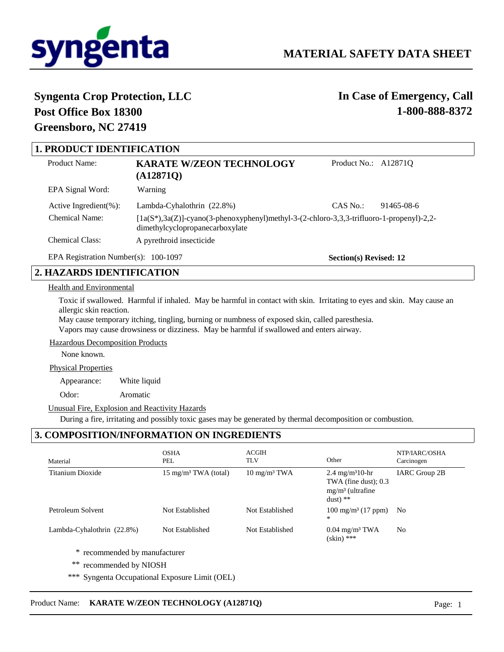

# **Syngenta Crop Protection, LLC Post Office Box 18300 Greensboro, NC 27419**

# **In Case of Emergency, Call 1-800-888-8372**

| <b>1. PRODUCT IDENTIFICATION</b>       |                                                                                                                                 |                        |            |  |
|----------------------------------------|---------------------------------------------------------------------------------------------------------------------------------|------------------------|------------|--|
|                                        |                                                                                                                                 |                        |            |  |
| Product Name:                          | <b>KARATE W/ZEON TECHNOLOGY</b>                                                                                                 | Product No.: A12871Q   |            |  |
|                                        | (A128710)                                                                                                                       |                        |            |  |
| EPA Signal Word:                       | Warning                                                                                                                         |                        |            |  |
| Active Ingredient $(\%)$ :             | Lambda-Cyhalothrin (22.8%)                                                                                                      | CAS No.                | 91465-08-6 |  |
| Chemical Name:                         | $[1a(S*), 3a(Z)]$ -cyano(3-phenoxyphenyl)methyl-3-(2-chloro-3,3,3-trifluoro-1-propenyl)-2,2-<br>dimethylcyclopropanecarboxylate |                        |            |  |
| <b>Chemical Class:</b>                 | A pyrethroid insecticide                                                                                                        |                        |            |  |
| EPA Registration Number(s): $100-1097$ |                                                                                                                                 | Section(s) Revised: 12 |            |  |

# **2. HAZARDS IDENTIFICATION**

# Health and Environmental

Toxic if swallowed. Harmful if inhaled. May be harmful in contact with skin. Irritating to eyes and skin. May cause an allergic skin reaction.

May cause temporary itching, tingling, burning or numbness of exposed skin, called paresthesia. Vapors may cause drowsiness or dizziness. May be harmful if swallowed and enters airway.

## Hazardous Decomposition Products

None known.

#### Physical Properties

Appearance: White liquid

Odor: Aromatic

#### Unusual Fire, Explosion and Reactivity Hazards

During a fire, irritating and possibly toxic gases may be generated by thermal decomposition or combustion.

# **3. COMPOSITION/INFORMATION ON INGREDIENTS**

| <b>OSHA</b><br>PEL              | <b>ACGIH</b><br><b>TLV</b>  | Other                                                                                     | NTP/IARC/OSHA<br>Carcinogen |
|---------------------------------|-----------------------------|-------------------------------------------------------------------------------------------|-----------------------------|
| $15 \text{ mg/m}^3$ TWA (total) | $10 \text{ mg/m}^3$ TWA     | 2.4 mg/m <sup>3</sup> 10-hr<br>TWA (fine dust); $0.3$<br>$mg/m3$ (ultrafine<br>$dust)$ ** | IARC Group 2B               |
| Not Established                 | Not Established             | $100 \text{ mg/m}^3$ (17 ppm)<br>$*$                                                      | N <sub>o</sub>              |
| Not Established                 | Not Established             | $0.04$ mg/m <sup>3</sup> TWA<br>$(\sin)$ ***                                              | N <sub>o</sub>              |
|                                 |                             |                                                                                           |                             |
|                                 | recommended by manufacturer |                                                                                           |                             |

- recommended by NIOSH
- \*\*\* Syngenta Occupational Exposure Limit (OEL)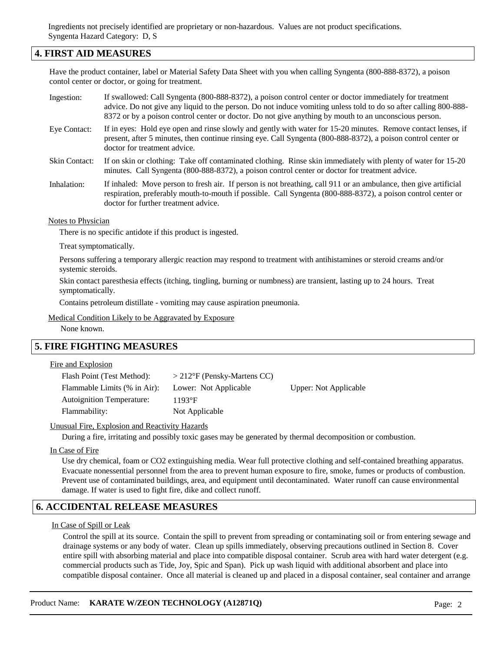Ingredients not precisely identified are proprietary or non-hazardous. Values are not product specifications. Syngenta Hazard Category: D, S

# **4. FIRST AID MEASURES**

Have the product container, label or Material Safety Data Sheet with you when calling Syngenta (800-888-8372), a poison contol center or doctor, or going for treatment.

- If swallowed: Call Syngenta (800-888-8372), a poison control center or doctor immediately for treatment advice. Do not give any liquid to the person. Do not induce vomiting unless told to do so after calling 800-888- 8372 or by a poison control center or doctor. Do not give anything by mouth to an unconscious person. Ingestion:
- If in eyes: Hold eye open and rinse slowly and gently with water for 15-20 minutes. Remove contact lenses, if present, after 5 minutes, then continue rinsing eye. Call Syngenta (800-888-8372), a poison control center or doctor for treatment advice. Eye Contact:
- If on skin or clothing: Take off contaminated clothing. Rinse skin immediately with plenty of water for 15-20 minutes. Call Syngenta (800-888-8372), a poison control center or doctor for treatment advice. Skin Contact:
- If inhaled: Move person to fresh air. If person is not breathing, call 911 or an ambulance, then give artificial respiration, preferably mouth-to-mouth if possible. Call Syngenta (800-888-8372), a poison control center or doctor for further treatment advice. Inhalation:

#### Notes to Physician

There is no specific antidote if this product is ingested.

Treat symptomatically.

Persons suffering a temporary allergic reaction may respond to treatment with antihistamines or steroid creams and/or systemic steroids.

Skin contact paresthesia effects (itching, tingling, burning or numbness) are transient, lasting up to 24 hours. Treat symptomatically.

Contains petroleum distillate - vomiting may cause aspiration pneumonia.

Medical Condition Likely to be Aggravated by Exposure

None known.

# **5. FIRE FIGHTING MEASURES**

Fire and Explosion

| Flash Point (Test Method):   | $>$ 212°F (Pensky-Martens CC) |                              |
|------------------------------|-------------------------------|------------------------------|
| Flammable Limits (% in Air): | Lower: Not Applicable         | <b>Upper:</b> Not Applicable |
| Autoignition Temperature:    | $1193$ °F                     |                              |
| Flammability:                | Not Applicable                |                              |

#### Unusual Fire, Explosion and Reactivity Hazards

During a fire, irritating and possibly toxic gases may be generated by thermal decomposition or combustion.

In Case of Fire

Use dry chemical, foam or CO2 extinguishing media. Wear full protective clothing and self-contained breathing apparatus. Evacuate nonessential personnel from the area to prevent human exposure to fire, smoke, fumes or products of combustion. Prevent use of contaminated buildings, area, and equipment until decontaminated. Water runoff can cause environmental damage. If water is used to fight fire, dike and collect runoff.

## **6. ACCIDENTAL RELEASE MEASURES**

In Case of Spill or Leak

Control the spill at its source. Contain the spill to prevent from spreading or contaminating soil or from entering sewage and drainage systems or any body of water. Clean up spills immediately, observing precautions outlined in Section 8. Cover entire spill with absorbing material and place into compatible disposal container. Scrub area with hard water detergent (e.g. commercial products such as Tide, Joy, Spic and Span). Pick up wash liquid with additional absorbent and place into compatible disposal container. Once all material is cleaned up and placed in a disposal container, seal container and arrange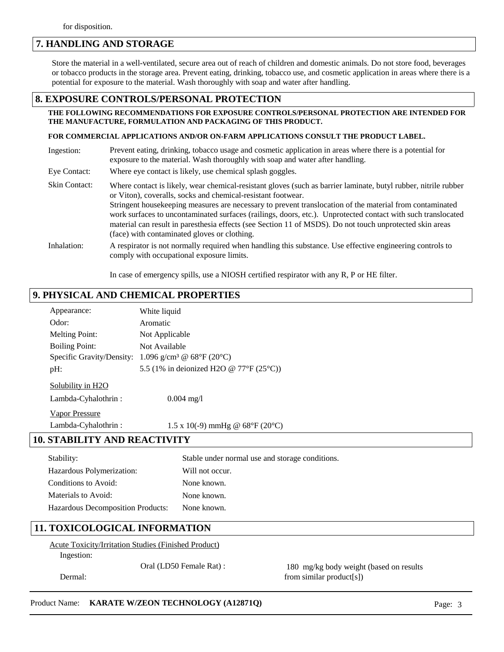# **7. HANDLING AND STORAGE**

Store the material in a well-ventilated, secure area out of reach of children and domestic animals. Do not store food, beverages or tobacco products in the storage area. Prevent eating, drinking, tobacco use, and cosmetic application in areas where there is a potential for exposure to the material. Wash thoroughly with soap and water after handling.

## **8. EXPOSURE CONTROLS/PERSONAL PROTECTION**

#### **THE FOLLOWING RECOMMENDATIONS FOR EXPOSURE CONTROLS/PERSONAL PROTECTION ARE INTENDED FOR THE MANUFACTURE, FORMULATION AND PACKAGING OF THIS PRODUCT.**

#### **FOR COMMERCIAL APPLICATIONS AND/OR ON-FARM APPLICATIONS CONSULT THE PRODUCT LABEL.**

| Ingestion:    | Prevent eating, drinking, tobacco usage and cosmetic application in areas where there is a potential for<br>exposure to the material. Wash thoroughly with soap and water after handling.                                                                                                                                                                                                                                                                                                                                                                                |
|---------------|--------------------------------------------------------------------------------------------------------------------------------------------------------------------------------------------------------------------------------------------------------------------------------------------------------------------------------------------------------------------------------------------------------------------------------------------------------------------------------------------------------------------------------------------------------------------------|
| Eye Contact:  | Where eye contact is likely, use chemical splash goggles.                                                                                                                                                                                                                                                                                                                                                                                                                                                                                                                |
| Skin Contact: | Where contact is likely, wear chemical-resistant gloves (such as barrier laminate, butyl rubber, nitrile rubber<br>or Viton), coveralls, socks and chemical-resistant footwear.<br>Stringent house keeping measures are necessary to prevent translocation of the material from contaminated<br>work surfaces to uncontaminated surfaces (railings, doors, etc.). Unprotected contact with such translocated<br>material can result in paresthesia effects (see Section 11 of MSDS). Do not touch unprotected skin areas<br>(face) with contaminated gloves or clothing. |
| Inhalation:   | A respirator is not normally required when handling this substance. Use effective engineering controls to<br>comply with occupational exposure limits.                                                                                                                                                                                                                                                                                                                                                                                                                   |

In case of emergency spills, use a NIOSH certified respirator with any R, P or HE filter.

# **9. PHYSICAL AND CHEMICAL PROPERTIES**

| Appearance:                         | White liquid                                                      |
|-------------------------------------|-------------------------------------------------------------------|
| Odor:                               | Aromatic                                                          |
| <b>Melting Point:</b>               | Not Applicable                                                    |
| <b>Boiling Point:</b>               | Not Available                                                     |
|                                     | Specific Gravity/Density: $1.096$ g/cm <sup>3</sup> @ 68°F (20°C) |
| pH:                                 | 5.5 (1% in deionized H2O @ 77°F (25°C))                           |
| Solubility in H2O                   |                                                                   |
| Lambda-Cyhalothrin:                 | $0.004 \text{ mg}/1$                                              |
| <b>Vapor Pressure</b>               |                                                                   |
| Lambda-Cyhalothrin:                 | 1.5 x 10(-9) mmHg @ $68^{\circ}F(20^{\circ}C)$                    |
| <b>10. STABILITY AND REACTIVITY</b> |                                                                   |
| Stability:                          | Stable under normal use and storage conditions.                   |
| Hazardous Polymerization:           | Will not occur.                                                   |
| Conditions to Avoid:                | None known.                                                       |
| Materials to Avoid:                 | None known.                                                       |
| Hazardous Decomposition Products:   | None known.                                                       |

# **11. TOXICOLOGICAL INFORMATION**

Acute Toxicity/Irritation Studies (Finished Product) Ingestion:

Dermal:

Oral (LD50 Female Rat) : 180 mg/kg body weight (based on results from similar product[s])

## Product Name: **KARATE W/ZEON TECHNOLOGY (A12871Q)** Page: 3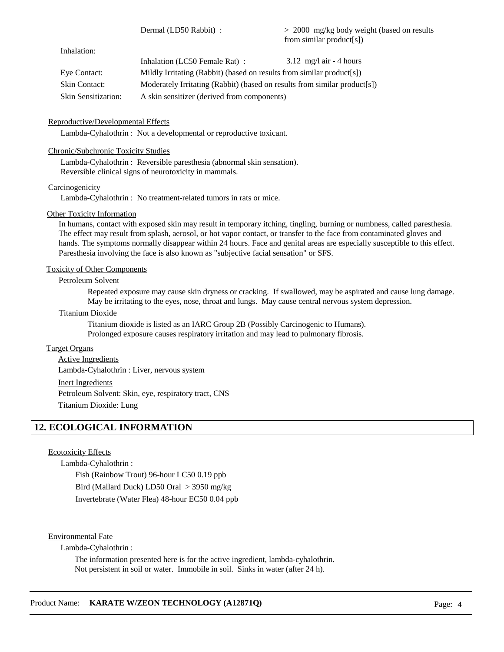Dermal (LD50 Rabbit) :

> 2000 mg/kg body weight (based on results from similar product[s])

Inhalation:

|                     | Inhalation (LC50 Female Rat):                                              | $3.12 \text{ mg/l air} - 4 \text{ hours}$ |
|---------------------|----------------------------------------------------------------------------|-------------------------------------------|
| Eve Contact:        | Mildly Irritating (Rabbit) (based on results from similar product[s])      |                                           |
| Skin Contact:       | Moderately Irritating (Rabbit) (based on results from similar product [s]) |                                           |
| Skin Sensitization: | A skin sensitizer (derived from components)                                |                                           |

## Reproductive/Developmental Effects

Lambda-Cyhalothrin : Not a developmental or reproductive toxicant.

# Chronic/Subchronic Toxicity Studies

Lambda-Cyhalothrin : Reversible paresthesia (abnormal skin sensation). Reversible clinical signs of neurotoxicity in mammals.

## **Carcinogenicity**

Lambda-Cyhalothrin : No treatment-related tumors in rats or mice.

## Other Toxicity Information

In humans, contact with exposed skin may result in temporary itching, tingling, burning or numbness, called paresthesia. The effect may result from splash, aerosol, or hot vapor contact, or transfer to the face from contaminated gloves and hands. The symptoms normally disappear within 24 hours. Face and genital areas are especially susceptible to this effect. Paresthesia involving the face is also known as "subjective facial sensation" or SFS.

## Toxicity of Other Components

Petroleum Solvent

Repeated exposure may cause skin dryness or cracking. If swallowed, may be aspirated and cause lung damage. May be irritating to the eyes, nose, throat and lungs. May cause central nervous system depression.

## Titanium Dioxide

Titanium dioxide is listed as an IARC Group 2B (Possibly Carcinogenic to Humans). Prolonged exposure causes respiratory irritation and may lead to pulmonary fibrosis.

## Target Organs

Active Ingredients Inert Ingredients Lambda-Cyhalothrin : Liver, nervous system Petroleum Solvent: Skin, eye, respiratory tract, CNS Titanium Dioxide: Lung

# **12. ECOLOGICAL INFORMATION**

## Ecotoxicity Effects

Lambda-Cyhalothrin : Fish (Rainbow Trout) 96-hour LC50 0.19 ppb Bird (Mallard Duck) LD50 Oral > 3950 mg/kg Invertebrate (Water Flea) 48-hour EC50 0.04 ppb

Environmental Fate

Lambda-Cyhalothrin :

The information presented here is for the active ingredient, lambda-cyhalothrin. Not persistent in soil or water. Immobile in soil. Sinks in water (after 24 h).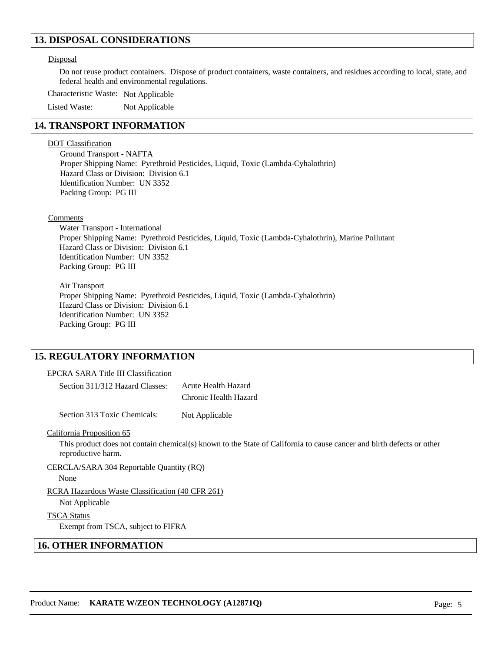# **13. DISPOSAL CONSIDERATIONS**

#### Disposal

Do not reuse product containers. Dispose of product containers, waste containers, and residues according to local, state, and federal health and environmental regulations.

Characteristic Waste: Not Applicable

Listed Waste: Not Applicable

# **14. TRANSPORT INFORMATION**

#### DOT Classification

Ground Transport - NAFTA Proper Shipping Name: Pyrethroid Pesticides, Liquid, Toxic (Lambda-Cyhalothrin) Hazard Class or Division: Division 6.1 Identification Number: UN 3352 Packing Group: PG III

#### **Comments**

Water Transport - International Proper Shipping Name: Pyrethroid Pesticides, Liquid, Toxic (Lambda-Cyhalothrin), Marine Pollutant Hazard Class or Division: Division 6.1 Identification Number: UN 3352 Packing Group: PG III

Air Transport Proper Shipping Name: Pyrethroid Pesticides, Liquid, Toxic (Lambda-Cyhalothrin) Hazard Class or Division: Division 6.1 Identification Number: UN 3352 Packing Group: PG III

# **15. REGULATORY INFORMATION**

## EPCRA SARA Title III Classification

| Section 311/312 Hazard Classes: | Acute Health Hazard   |  |  |
|---------------------------------|-----------------------|--|--|
|                                 | Chronic Health Hazard |  |  |

Section 313 Toxic Chemicals: Not Applicable

#### California Proposition 65

This product does not contain chemical(s) known to the State of California to cause cancer and birth defects or other reproductive harm.

CERCLA/SARA 304 Reportable Quantity (RQ)

None

RCRA Hazardous Waste Classification (40 CFR 261)

Not Applicable

TSCA Status

Exempt from TSCA, subject to FIFRA

# **16. OTHER INFORMATION**